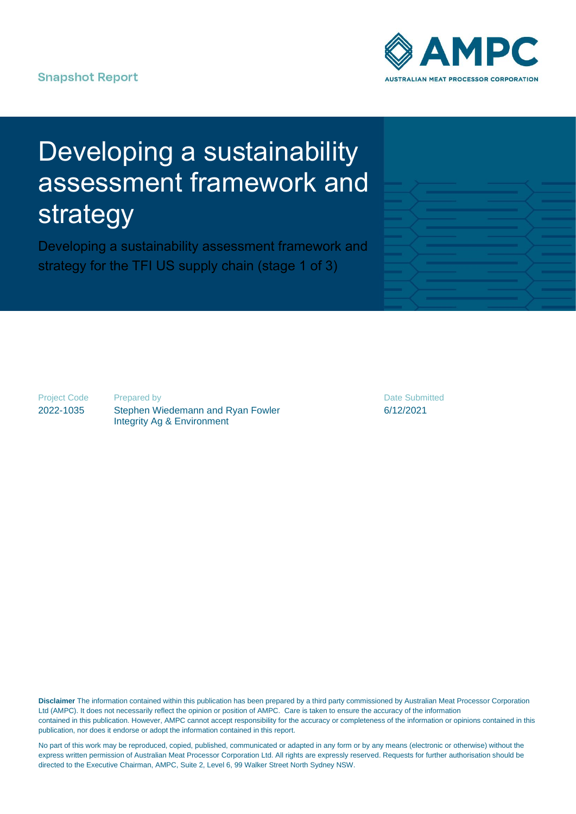# **Snapshot Report**



# Developing a sustainability assessment framework and strategy

Developing a sustainability assessment framework and strategy for the TFI US supply chain (stage 1 of 3)

Project Code 2022-1035

Prepared by Stephen Wiedemann and Ryan Fowler Integrity Ag & Environment

Date Submitted 6/12/2021

**Disclaimer** The information contained within this publication has been prepared by a third party commissioned by Australian Meat Processor Corporation Ltd (AMPC). It does not necessarily reflect the opinion or position of AMPC. Care is taken to ensure the accuracy of the information contained in this publication. However, AMPC cannot accept responsibility for the accuracy or completeness of the information or opinions contained in this publication, nor does it endorse or adopt the information contained in this report.

No part of this work may be reproduced, copied, published, communicated or adapted in any form or by any means (electronic or otherwise) without the express written permission of Australian Meat Processor Corporation Ltd. All rights are expressly reserved. Requests for further authorisation should be directed to the Executive Chairman, AMPC, Suite 2, Level 6, 99 Walker Street North Sydney NSW.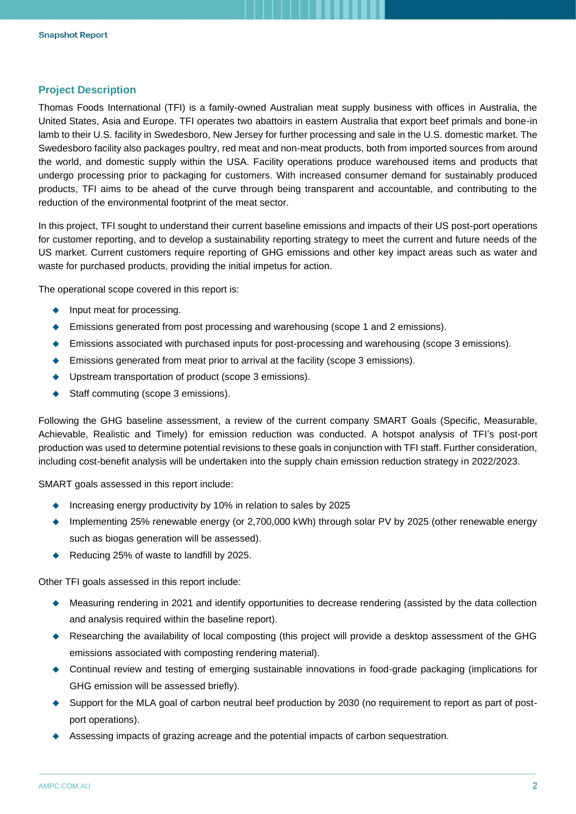## **Project Description**

Thomas Foods International (TFI) is a family-owned Australian meat supply business with offices in Australia, the United States, Asia and Europe. TFI operates two abattoirs in eastern Australia that export beef primals and bone-in lamb to their U.S. facility in Swedesboro, New Jersey for further processing and sale in the U.S. domestic market. The Swedesboro facility also packages poultry, red meat and non-meat products, both from imported sources from around the world, and domestic supply within the USA. Facility operations produce warehoused items and products that undergo processing prior to packaging for customers. With increased consumer demand for sustainably produced products, TFI aims to be ahead of the curve through being transparent and accountable, and contributing to the reduction of the environmental footprint of the meat sector.

In this project, TFI sought to understand their current baseline emissions and impacts of their US post-port operations for customer reporting, and to develop a sustainability reporting strategy to meet the current and future needs of the US market. Current customers require reporting of GHG emissions and other key impact areas such as water and waste for purchased products, providing the initial impetus for action.

The operational scope covered in this report is:

- ◆ Input meat for processing.
- ◆ Emissions generated from post processing and warehousing (scope 1 and 2 emissions).
- ◆ Emissions associated with purchased inputs for post-processing and warehousing (scope 3 emissions).
- ◆ Emissions generated from meat prior to arrival at the facility (scope 3 emissions).
- ◆ Upstream transportation of product (scope 3 emissions).
- ◆ Staff commuting (scope 3 emissions).

Following the GHG baseline assessment, a review of the current company SMART Goals (Specific, Measurable, Achievable, Realistic and Timely) for emission reduction was conducted. A hotspot analysis of TFI's post-port production was used to determine potential revisions to these goals in conjunction with TFI staff. Further consideration, including cost-benefit analysis will be undertaken into the supply chain emission reduction strategy in 2022/2023.

SMART goals assessed in this report include:

- ◆ Increasing energy productivity by 10% in relation to sales by 2025
- ◆ Implementing 25% renewable energy (or 2,700,000 kWh) through solar PV by 2025 (other renewable energy such as biogas generation will be assessed).
- ◆ Reducing 25% of waste to landfill by 2025.

Other TFI goals assessed in this report include:

- ◆ Measuring rendering in 2021 and identify opportunities to decrease rendering (assisted by the data collection and analysis required within the baseline report).
- ◆ Researching the availability of local composting (this project will provide a desktop assessment of the GHG emissions associated with composting rendering material).
- ◆ Continual review and testing of emerging sustainable innovations in food-grade packaging (implications for GHG emission will be assessed briefly).
- ◆ Support for the MLA goal of carbon neutral beef production by 2030 (no requirement to report as part of postport operations).
- ◆ Assessing impacts of grazing acreage and the potential impacts of carbon sequestration.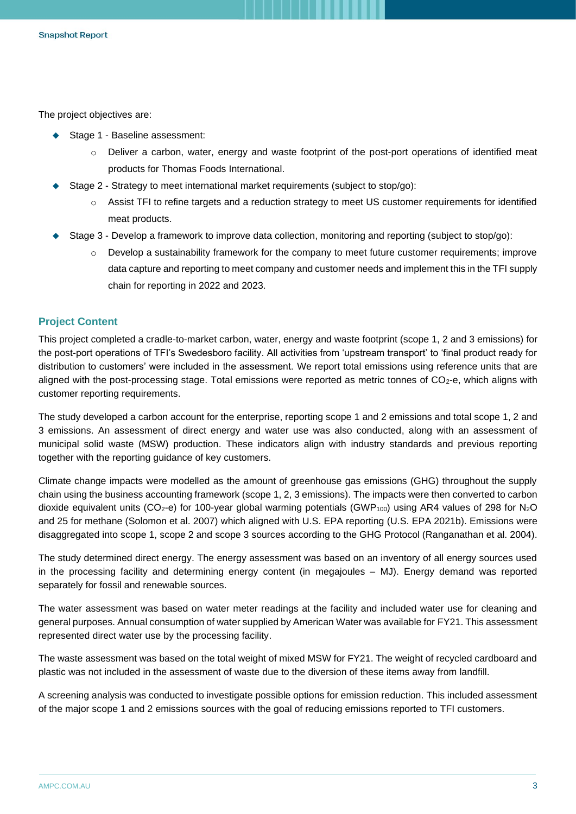The project objectives are:

- ◆ Stage 1 Baseline assessment:
	- o Deliver a carbon, water, energy and waste footprint of the post-port operations of identified meat products for Thomas Foods International.
- ◆ Stage 2 Strategy to meet international market requirements (subject to stop/go):
	- o Assist TFI to refine targets and a reduction strategy to meet US customer requirements for identified meat products.
- Stage 3 Develop a framework to improve data collection, monitoring and reporting (subject to stop/go):
	- $\circ$  Develop a sustainability framework for the company to meet future customer requirements; improve data capture and reporting to meet company and customer needs and implement this in the TFI supply chain for reporting in 2022 and 2023.

#### **Project Content**

This project completed a cradle-to-market carbon, water, energy and waste footprint (scope 1, 2 and 3 emissions) for the post-port operations of TFI's Swedesboro facility. All activities from 'upstream transport' to 'final product ready for distribution to customers' were included in the assessment. We report total emissions using reference units that are aligned with the post-processing stage. Total emissions were reported as metric tonnes of CO<sub>2</sub>-e, which aligns with customer reporting requirements.

The study developed a carbon account for the enterprise, reporting scope 1 and 2 emissions and total scope 1, 2 and 3 emissions. An assessment of direct energy and water use was also conducted, along with an assessment of municipal solid waste (MSW) production. These indicators align with industry standards and previous reporting together with the reporting guidance of key customers.

Climate change impacts were modelled as the amount of greenhouse gas emissions (GHG) throughout the supply chain using the business accounting framework (scope 1, 2, 3 emissions). The impacts were then converted to carbon dioxide equivalent units (CO<sub>2</sub>-e) for 100-year global warming potentials (GWP<sub>100</sub>) using AR4 values of 298 for N<sub>2</sub>O and 25 for methane (Solomon et al. 2007) which aligned with U.S. EPA reporting (U.S. EPA 2021b). Emissions were disaggregated into scope 1, scope 2 and scope 3 sources according to the GHG Protocol (Ranganathan et al. 2004).

The study determined direct energy. The energy assessment was based on an inventory of all energy sources used in the processing facility and determining energy content (in megajoules – MJ). Energy demand was reported separately for fossil and renewable sources.

The water assessment was based on water meter readings at the facility and included water use for cleaning and general purposes. Annual consumption of water supplied by American Water was available for FY21. This assessment represented direct water use by the processing facility.

The waste assessment was based on the total weight of mixed MSW for FY21. The weight of recycled cardboard and plastic was not included in the assessment of waste due to the diversion of these items away from landfill.

A screening analysis was conducted to investigate possible options for emission reduction. This included assessment of the major scope 1 and 2 emissions sources with the goal of reducing emissions reported to TFI customers.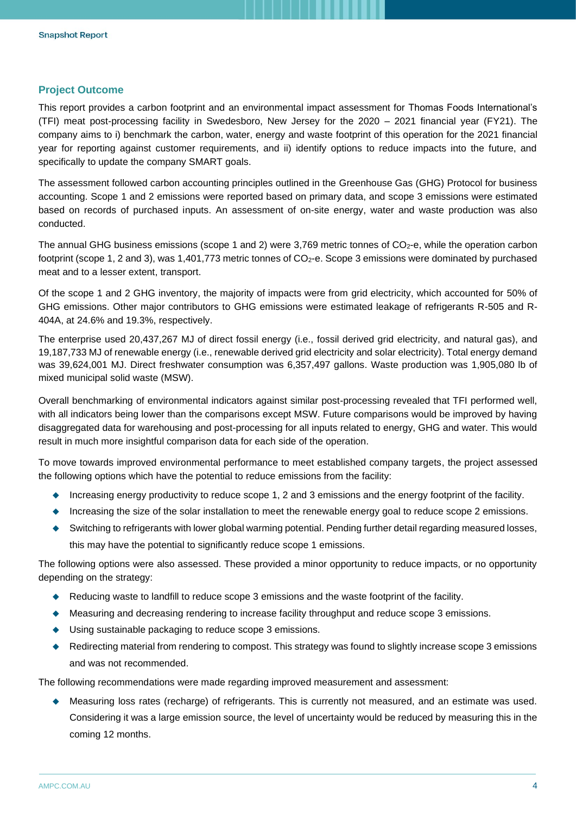## **Project Outcome**

This report provides a carbon footprint and an environmental impact assessment for Thomas Foods International's (TFI) meat post-processing facility in Swedesboro, New Jersey for the 2020 – 2021 financial year (FY21). The company aims to i) benchmark the carbon, water, energy and waste footprint of this operation for the 2021 financial year for reporting against customer requirements, and ii) identify options to reduce impacts into the future, and specifically to update the company SMART goals.

The assessment followed carbon accounting principles outlined in the Greenhouse Gas (GHG) Protocol for business accounting. Scope 1 and 2 emissions were reported based on primary data, and scope 3 emissions were estimated based on records of purchased inputs. An assessment of on-site energy, water and waste production was also conducted.

The annual GHG business emissions (scope 1 and 2) were  $3,769$  metric tonnes of  $CO<sub>2</sub>$ -e, while the operation carbon footprint (scope 1, 2 and 3), was 1,401,773 metric tonnes of CO<sub>2</sub>-e. Scope 3 emissions were dominated by purchased meat and to a lesser extent, transport.

Of the scope 1 and 2 GHG inventory, the majority of impacts were from grid electricity, which accounted for 50% of GHG emissions. Other major contributors to GHG emissions were estimated leakage of refrigerants R-505 and R-404A, at 24.6% and 19.3%, respectively.

The enterprise used 20,437,267 MJ of direct fossil energy (i.e., fossil derived grid electricity, and natural gas), and 19,187,733 MJ of renewable energy (i.e., renewable derived grid electricity and solar electricity). Total energy demand was 39,624,001 MJ. Direct freshwater consumption was 6,357,497 gallons. Waste production was 1,905,080 lb of mixed municipal solid waste (MSW).

Overall benchmarking of environmental indicators against similar post-processing revealed that TFI performed well, with all indicators being lower than the comparisons except MSW. Future comparisons would be improved by having disaggregated data for warehousing and post-processing for all inputs related to energy, GHG and water. This would result in much more insightful comparison data for each side of the operation.

To move towards improved environmental performance to meet established company targets, the project assessed the following options which have the potential to reduce emissions from the facility:

- ◆ Increasing energy productivity to reduce scope 1, 2 and 3 emissions and the energy footprint of the facility.
- ◆ Increasing the size of the solar installation to meet the renewable energy goal to reduce scope 2 emissions.
- ◆ Switching to refrigerants with lower global warming potential. Pending further detail regarding measured losses, this may have the potential to significantly reduce scope 1 emissions.

The following options were also assessed. These provided a minor opportunity to reduce impacts, or no opportunity depending on the strategy:

- ◆ Reducing waste to landfill to reduce scope 3 emissions and the waste footprint of the facility.
- ◆ Measuring and decreasing rendering to increase facility throughput and reduce scope 3 emissions.
- ◆ Using sustainable packaging to reduce scope 3 emissions.
- ◆ Redirecting material from rendering to compost. This strategy was found to slightly increase scope 3 emissions and was not recommended.

The following recommendations were made regarding improved measurement and assessment:

◆ Measuring loss rates (recharge) of refrigerants. This is currently not measured, and an estimate was used. Considering it was a large emission source, the level of uncertainty would be reduced by measuring this in the coming 12 months.